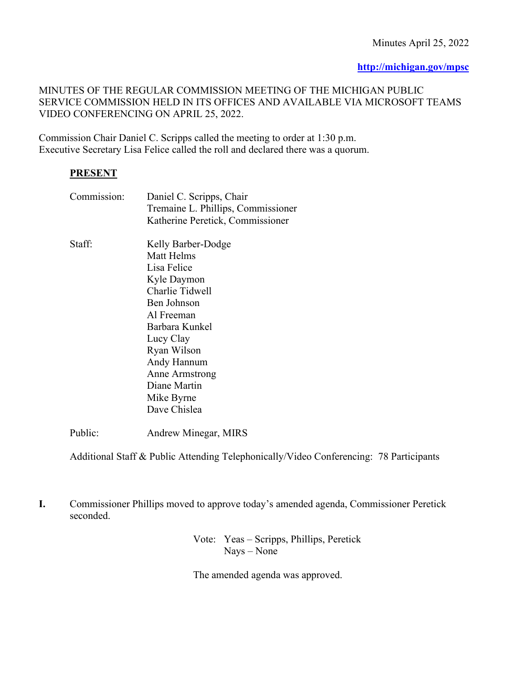## MINUTES OF THE REGULAR COMMISSION MEETING OF THE MICHIGAN PUBLIC SERVICE COMMISSION HELD IN ITS OFFICES AND AVAILABLE VIA MICROSOFT TEAMS VIDEO CONFERENCING ON APRIL 25, 2022.

Commission Chair Daniel C. Scripps called the meeting to order at 1:30 p.m. Executive Secretary Lisa Felice called the roll and declared there was a quorum.

# **PRESENT**

| Commission: | Daniel C. Scripps, Chair           |
|-------------|------------------------------------|
|             | Tremaine L. Phillips, Commissioner |
|             | Katherine Peretick, Commissioner   |
| Staff:      | Kelly Barber-Dodge                 |
|             | Matt Helms                         |
|             | Lisa Felice                        |
|             | Kyle Daymon                        |
|             | Charlie Tidwell                    |
|             | Ben Johnson                        |
|             | Al Freeman                         |
|             | Barbara Kunkel                     |
|             | Lucy Clay                          |
|             | Ryan Wilson                        |
|             | Andy Hannum                        |
|             | Anne Armstrong                     |
|             | Diane Martin                       |
|             | Mike Byrne                         |
|             | Dave Chislea                       |
|             |                                    |

Public: Andrew Minegar, MIRS

Additional Staff & Public Attending Telephonically/Video Conferencing: 78 Participants

**I.** Commissioner Phillips moved to approve today's amended agenda, Commissioner Peretick seconded.

> Vote: Yeas – Scripps, Phillips, Peretick Nays – None

The amended agenda was approved.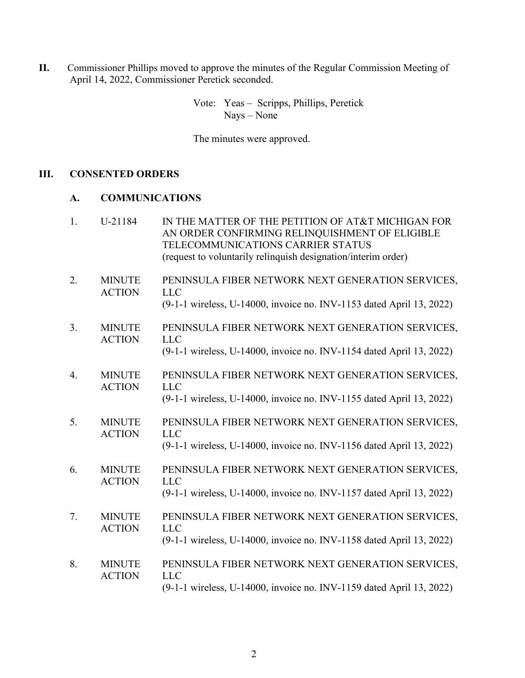**II.** Commissioner Phillips moved to approve the minutes of the Regular Commission Meeting of April 14, 2022, Commissioner Peretick seconded.

> Vote: Yeas – Scripps, Phillips, Peretick Nays – None

The minutes were approved.

#### **III. CONSENTED ORDERS**

## **A. COMMUNICATIONS**

| 1.               | U-21184                        | IN THE MATTER OF THE PETITION OF AT&T MICHIGAN FOR<br>AN ORDER CONFIRMING RELINQUISHMENT OF ELIGIBLE<br>TELECOMMUNICATIONS CARRIER STATUS<br>(request to voluntarily relinquish designation/interim order) |
|------------------|--------------------------------|------------------------------------------------------------------------------------------------------------------------------------------------------------------------------------------------------------|
| 2.               | <b>MINUTE</b><br><b>ACTION</b> | PENINSULA FIBER NETWORK NEXT GENERATION SERVICES,<br><b>LLC</b><br>(9-1-1 wireless, U-14000, invoice no. INV-1153 dated April 13, 2022)                                                                    |
| 3.               | <b>MINUTE</b><br><b>ACTION</b> | PENINSULA FIBER NETWORK NEXT GENERATION SERVICES,<br><b>LLC</b><br>(9-1-1 wireless, U-14000, invoice no. INV-1154 dated April 13, 2022)                                                                    |
| $\overline{4}$ . | <b>MINUTE</b><br><b>ACTION</b> | PENINSULA FIBER NETWORK NEXT GENERATION SERVICES,<br><b>LLC</b><br>(9-1-1 wireless, U-14000, invoice no. INV-1155 dated April 13, 2022)                                                                    |
| 5.               | <b>MINUTE</b><br><b>ACTION</b> | PENINSULA FIBER NETWORK NEXT GENERATION SERVICES,<br><b>LLC</b><br>(9-1-1 wireless, U-14000, invoice no. INV-1156 dated April 13, 2022)                                                                    |
| 6.               | <b>MINUTE</b><br><b>ACTION</b> | PENINSULA FIBER NETWORK NEXT GENERATION SERVICES,<br><b>LLC</b><br>(9-1-1 wireless, U-14000, invoice no. INV-1157 dated April 13, 2022)                                                                    |
| 7.               | <b>MINUTE</b><br><b>ACTION</b> | PENINSULA FIBER NETWORK NEXT GENERATION SERVICES,<br><b>LLC</b><br>(9-1-1 wireless, U-14000, invoice no. INV-1158 dated April 13, 2022)                                                                    |
| 8.               | <b>MINUTE</b><br><b>ACTION</b> | PENINSULA FIBER NETWORK NEXT GENERATION SERVICES,<br><b>LLC</b><br>(9-1-1 wireless, U-14000, invoice no. INV-1159 dated April 13, 2022)                                                                    |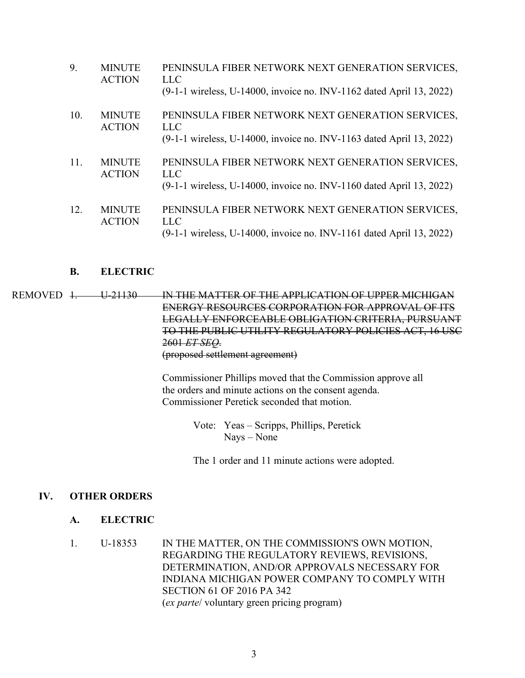| 9.  | <b>MINUTE</b><br><b>ACTION</b> | PENINSULA FIBER NETWORK NEXT GENERATION SERVICES,<br>LLC <sup>1</sup><br>(9-1-1 wireless, U-14000, invoice no. INV-1162 dated April 13, 2022) |
|-----|--------------------------------|-----------------------------------------------------------------------------------------------------------------------------------------------|
| 10. | <b>MINUTE</b><br><b>ACTION</b> | PENINSULA FIBER NETWORK NEXT GENERATION SERVICES,<br><b>LLC</b><br>(9-1-1 wireless, U-14000, invoice no. INV-1163 dated April 13, 2022)       |
| 11. | <b>MINUTE</b><br><b>ACTION</b> | PENINSULA FIBER NETWORK NEXT GENERATION SERVICES,<br>LLC.<br>(9-1-1 wireless, U-14000, invoice no. INV-1160 dated April 13, 2022)             |
| 12. | <b>MINUTE</b><br><b>ACTION</b> | PENINSULA FIBER NETWORK NEXT GENERATION SERVICES,<br><b>LLC</b><br>(9-1-1 wireless, U-14000, invoice no. INV-1161 dated April 13, 2022)       |

#### **B. ELECTRIC**

REMOVED 1. U-21130 IN THE MATTER OF THE APPLICATION OF UPPER MICHIGAN ENERGY RESOURCES CORPORATION FOR APPROVAL OF ITS LEGALLY ENFORCEABLE OBLIGATION CRITERIA, PURSUANT TO THE PUBLIC UTILITY REGULATORY POLICIES ACT, 16 USC 2601 *ET SEQ*. (proposed settlement agreement)

> Commissioner Phillips moved that the Commission approve all the orders and minute actions on the consent agenda. Commissioner Peretick seconded that motion.

> > Vote: Yeas – Scripps, Phillips, Peretick Nays – None

The 1 order and 11 minute actions were adopted.

## **IV. OTHER ORDERS**

#### **A. ELECTRIC**

1. U-18353 IN THE MATTER, ON THE COMMISSION'S OWN MOTION, REGARDING THE REGULATORY REVIEWS, REVISIONS, DETERMINATION, AND/OR APPROVALS NECESSARY FOR INDIANA MICHIGAN POWER COMPANY TO COMPLY WITH SECTION 61 OF 2016 PA 342 (*ex parte*/ voluntary green pricing program)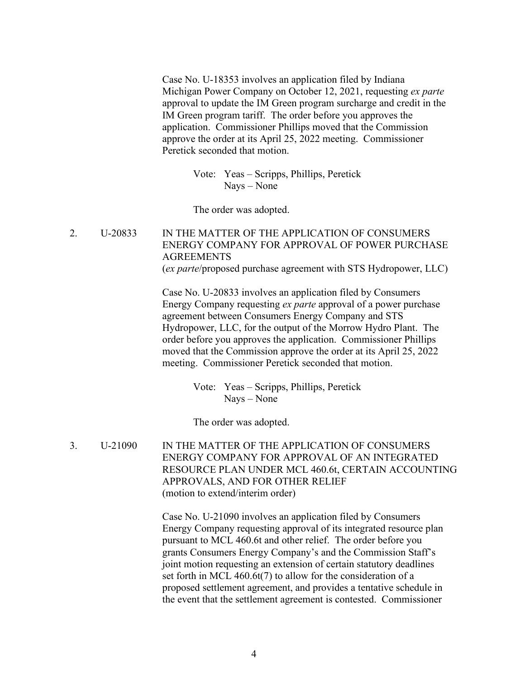Case No. U-18353 involves an application filed by Indiana Michigan Power Company on October 12, 2021, requesting *ex parte* approval to update the IM Green program surcharge and credit in the IM Green program tariff. The order before you approves the application. Commissioner Phillips moved that the Commission approve the order at its April 25, 2022 meeting. Commissioner Peretick seconded that motion.

> Vote: Yeas – Scripps, Phillips, Peretick Nays – None

The order was adopted.

### 2. U-20833 IN THE MATTER OF THE APPLICATION OF CONSUMERS ENERGY COMPANY FOR APPROVAL OF POWER PURCHASE AGREEMENTS (*ex parte*/proposed purchase agreement with STS Hydropower, LLC)

Case No. U-20833 involves an application filed by Consumers Energy Company requesting *ex parte* approval of a power purchase agreement between Consumers Energy Company and STS Hydropower, LLC, for the output of the Morrow Hydro Plant. The order before you approves the application. Commissioner Phillips moved that the Commission approve the order at its April 25, 2022 meeting. Commissioner Peretick seconded that motion.

> Vote: Yeas – Scripps, Phillips, Peretick Nays – None

The order was adopted.

3. U-21090 IN THE MATTER OF THE APPLICATION OF CONSUMERS ENERGY COMPANY FOR APPROVAL OF AN INTEGRATED RESOURCE PLAN UNDER MCL 460.6t, CERTAIN ACCOUNTING APPROVALS, AND FOR OTHER RELIEF (motion to extend/interim order)

> Case No. U-21090 involves an application filed by Consumers Energy Company requesting approval of its integrated resource plan pursuant to MCL 460.6t and other relief. The order before you grants Consumers Energy Company's and the Commission Staff's joint motion requesting an extension of certain statutory deadlines set forth in MCL 460.6t(7) to allow for the consideration of a proposed settlement agreement, and provides a tentative schedule in the event that the settlement agreement is contested. Commissioner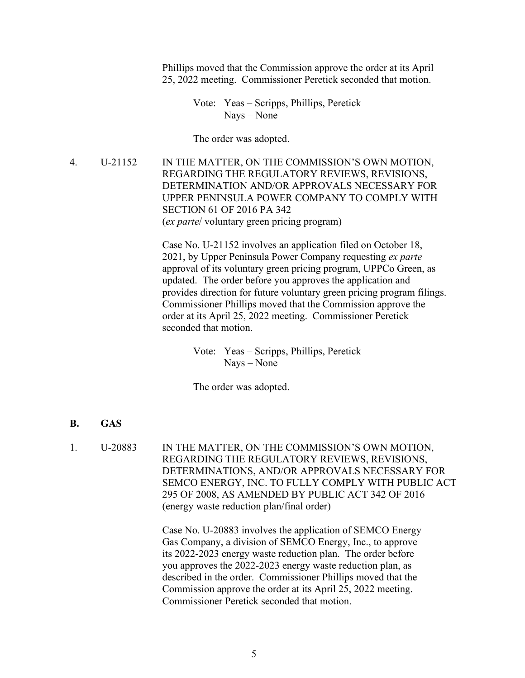Phillips moved that the Commission approve the order at its April 25, 2022 meeting. Commissioner Peretick seconded that motion.

> Vote: Yeas – Scripps, Phillips, Peretick Nays – None

The order was adopted.

4. U-21152 IN THE MATTER, ON THE COMMISSION'S OWN MOTION, REGARDING THE REGULATORY REVIEWS, REVISIONS, DETERMINATION AND/OR APPROVALS NECESSARY FOR UPPER PENINSULA POWER COMPANY TO COMPLY WITH SECTION 61 OF 2016 PA 342 (*ex parte*/ voluntary green pricing program)

> Case No. U-21152 involves an application filed on October 18, 2021, by Upper Peninsula Power Company requesting *ex parte* approval of its voluntary green pricing program, UPPCo Green, as updated. The order before you approves the application and provides direction for future voluntary green pricing program filings. Commissioner Phillips moved that the Commission approve the order at its April 25, 2022 meeting. Commissioner Peretick seconded that motion.

> > Vote: Yeas – Scripps, Phillips, Peretick Nays – None

The order was adopted.

#### **B. GAS**

1. U-20883 IN THE MATTER, ON THE COMMISSION'S OWN MOTION, REGARDING THE REGULATORY REVIEWS, REVISIONS, DETERMINATIONS, AND/OR APPROVALS NECESSARY FOR SEMCO ENERGY, INC. TO FULLY COMPLY WITH PUBLIC ACT 295 OF 2008, AS AMENDED BY PUBLIC ACT 342 OF 2016 (energy waste reduction plan/final order)

> Case No. U-20883 involves the application of SEMCO Energy Gas Company, a division of SEMCO Energy, Inc., to approve its 2022-2023 energy waste reduction plan. The order before you approves the 2022-2023 energy waste reduction plan, as described in the order. Commissioner Phillips moved that the Commission approve the order at its April 25, 2022 meeting. Commissioner Peretick seconded that motion.